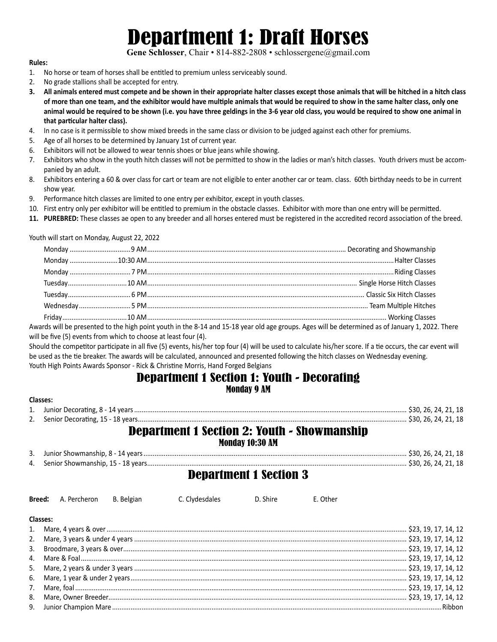## Department 1: Draft Horses

Gene Schlosser, Chair • 814-882-2808 • schlossergene@gmail.com

#### **Rules:**

- 1. No horse or team of horses shall be entitled to premium unless serviceably sound.
- 2. No grade stallions shall be accepted for entry.
- **3. All animals entered must compete and be shown in their appropriate halter classes except those animals that will be hitched in a hitch class of more than one team, and the exhibitor would have multiple animals that would be required to show in the same halter class, only one animal would be required to be shown (i.e. you have three geldings in the 3-6 year old class, you would be required to show one animal in that particular halter class).**
- 4. In no case is it permissible to show mixed breeds in the same class or division to be judged against each other for premiums.
- 5. Age of all horses to be determined by January 1st of current year.
- 6. Exhibitors will not be allowed to wear tennis shoes or blue jeans while showing.
- 7. Exhibitors who show in the youth hitch classes will not be permitted to show in the ladies or man's hitch classes. Youth drivers must be accompanied by an adult.
- 8. Exhibitors entering a 60 & over class for cart or team are not eligible to enter another car or team. class. 60th birthday needs to be in current show year.
- 9. Performance hitch classes are limited to one entry per exhibitor, except in youth classes.
- 10. First entry only per exhibitor will be entitled to premium in the obstacle classes. Exhibitor with more than one entry will be permitted.
- **11. PUREBRED:** These classes ae open to any breeder and all horses entered must be registered in the accredited record association of the breed.

Youth will start on Monday, August 22, 2022

Awards will be presented to the high point youth in the 8-14 and 15-18 year old age groups. Ages will be determined as of January 1, 2022. There will be five (5) events from which to choose at least four (4).

Should the competitor participate in all five (5) events, his/her top four (4) will be used to calculate his/her score. If a tie occurs, the car event will be used as the tie breaker. The awards will be calculated, announced and presented following the hitch classes on Wednesday evening. Youth High Points Awards Sponsor - Rick & Christine Morris, Hand Forged Belgians

### Department 1 Section 1: Youth - Decorating Monday 9 AM

| <b>Classes:</b>                                                       |  |
|-----------------------------------------------------------------------|--|
|                                                                       |  |
|                                                                       |  |
| <b>Department 1 Section 2: Youth - Showmanship</b><br>Monday 10:30 AM |  |

| 3. Junior Showmanship, 8 - 14 years                          | \$30, 26, 24, 21, 18 |  |  |
|--------------------------------------------------------------|----------------------|--|--|
| \$30, 26, 24, 21, 18<br>4. Senior Showmanship, 15 - 18 years |                      |  |  |

## Department 1 Section 3

|          |  | <b>Breed:</b> A. Percheron B. Belgian C. Clydesdales D. Shire | F. Other |  |
|----------|--|---------------------------------------------------------------|----------|--|
| Classes: |  |                                                               |          |  |
|          |  |                                                               |          |  |
|          |  |                                                               |          |  |
|          |  |                                                               |          |  |
|          |  |                                                               |          |  |
|          |  |                                                               |          |  |
|          |  |                                                               |          |  |
|          |  |                                                               |          |  |
|          |  |                                                               |          |  |
|          |  |                                                               |          |  |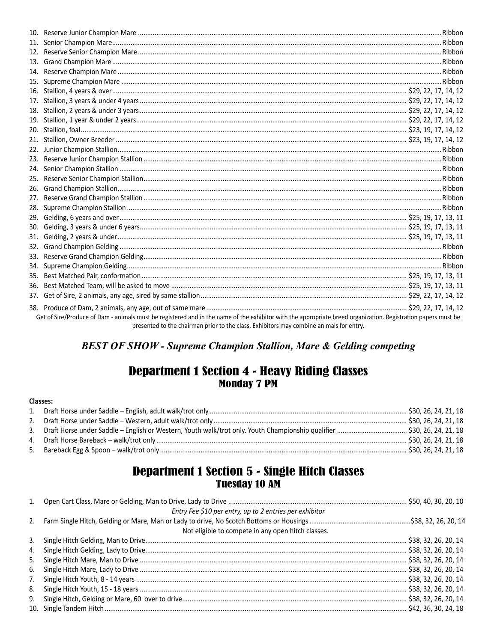| 13. |                                                                                                                                                                                                                                                          |  |
|-----|----------------------------------------------------------------------------------------------------------------------------------------------------------------------------------------------------------------------------------------------------------|--|
|     |                                                                                                                                                                                                                                                          |  |
|     |                                                                                                                                                                                                                                                          |  |
|     |                                                                                                                                                                                                                                                          |  |
| 17. |                                                                                                                                                                                                                                                          |  |
|     |                                                                                                                                                                                                                                                          |  |
|     |                                                                                                                                                                                                                                                          |  |
|     |                                                                                                                                                                                                                                                          |  |
|     |                                                                                                                                                                                                                                                          |  |
| 22. |                                                                                                                                                                                                                                                          |  |
| 23. |                                                                                                                                                                                                                                                          |  |
|     |                                                                                                                                                                                                                                                          |  |
| 25. |                                                                                                                                                                                                                                                          |  |
|     |                                                                                                                                                                                                                                                          |  |
| 27. |                                                                                                                                                                                                                                                          |  |
|     |                                                                                                                                                                                                                                                          |  |
|     |                                                                                                                                                                                                                                                          |  |
| 30. |                                                                                                                                                                                                                                                          |  |
|     |                                                                                                                                                                                                                                                          |  |
| 32. |                                                                                                                                                                                                                                                          |  |
|     |                                                                                                                                                                                                                                                          |  |
|     |                                                                                                                                                                                                                                                          |  |
| 35. |                                                                                                                                                                                                                                                          |  |
| 36. |                                                                                                                                                                                                                                                          |  |
|     |                                                                                                                                                                                                                                                          |  |
|     | Get of Sire/Produce of Dam - animals must be registered and in the name of the exhibitor with the appropriate breed organization. Registration papers must be<br>presented to the chairman prior to the class. Exhibitors may combine animals for entry. |  |

## **BEST OF SHOW - Supreme Champion Stallion, Mare & Gelding competing**

## **Department 1 Section 4 - Heavy Riding Classes<br>Monday 7 PM**

#### Classes:

# **Department 1 Section 5 - Single Hitch Classes<br>Tuesday 10 AM**

|    | Entry Fee \$10 per entry, up to 2 entries per exhibitor |  |
|----|---------------------------------------------------------|--|
|    |                                                         |  |
|    | Not eligible to compete in any open hitch classes.      |  |
| 3. |                                                         |  |
|    |                                                         |  |
| 5. |                                                         |  |
| 6. |                                                         |  |
| 7. |                                                         |  |
| 8. |                                                         |  |
| 9. |                                                         |  |
|    |                                                         |  |